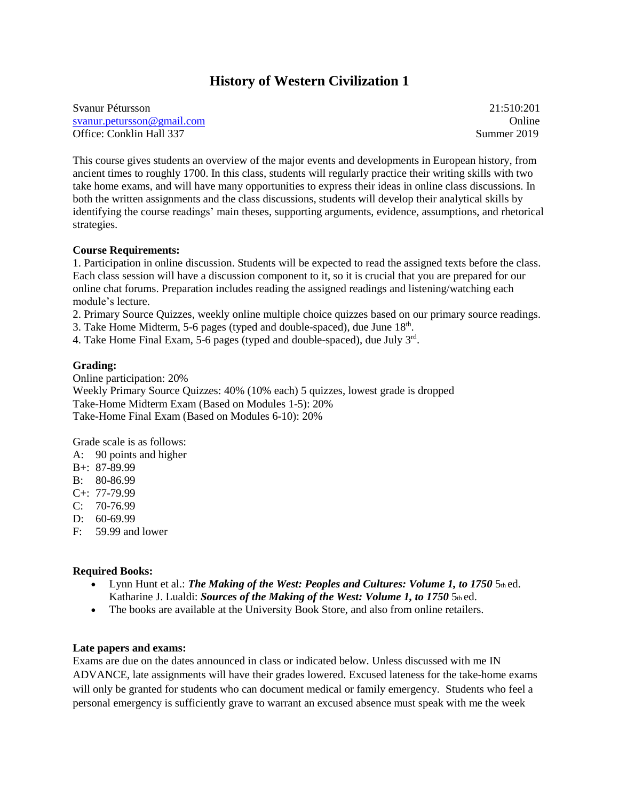# **History of Western Civilization 1**

Svanur Pétursson 21:510:201 [svanur.petursson@gmail.com](mailto:svanur.petursson@gmail.com) **Online** Online Office: Conklin Hall 337 Summer 2019

This course gives students an overview of the major events and developments in European history, from ancient times to roughly 1700. In this class, students will regularly practice their writing skills with two take home exams, and will have many opportunities to express their ideas in online class discussions. In both the written assignments and the class discussions, students will develop their analytical skills by identifying the course readings' main theses, supporting arguments, evidence, assumptions, and rhetorical strategies.

### **Course Requirements:**

1. Participation in online discussion. Students will be expected to read the assigned texts before the class. Each class session will have a discussion component to it, so it is crucial that you are prepared for our online chat forums. Preparation includes reading the assigned readings and listening/watching each module's lecture.

2. Primary Source Quizzes, weekly online multiple choice quizzes based on our primary source readings.

3. Take Home Midterm, 5-6 pages (typed and double-spaced), due June 18<sup>th</sup>.

4. Take Home Final Exam, 5-6 pages (typed and double-spaced), due July 3rd.

### **Grading:**

Online participation: 20% Weekly Primary Source Quizzes: 40% (10% each) 5 quizzes, lowest grade is dropped Take-Home Midterm Exam (Based on Modules 1-5): 20% Take-Home Final Exam (Based on Modules 6-10): 20%

Grade scale is as follows:

A: 90 points and higher

B+: 87-89.99

B: 80-86.99

C+: 77-79.99

C: 70-76.99

D: 60-69.99

F: 59.99 and lower

#### **Required Books:**

- Lynn Hunt et al.: *The Making of the West: Peoples and Cultures: Volume 1, to 1750* 5th ed. Katharine J. Lualdi: *Sources of the Making of the West: Volume 1, to 1750* 5th ed.
- The books are available at the University Book Store, and also from online retailers.

### **Late papers and exams:**

Exams are due on the dates announced in class or indicated below. Unless discussed with me IN ADVANCE, late assignments will have their grades lowered. Excused lateness for the take-home exams will only be granted for students who can document medical or family emergency. Students who feel a personal emergency is sufficiently grave to warrant an excused absence must speak with me the week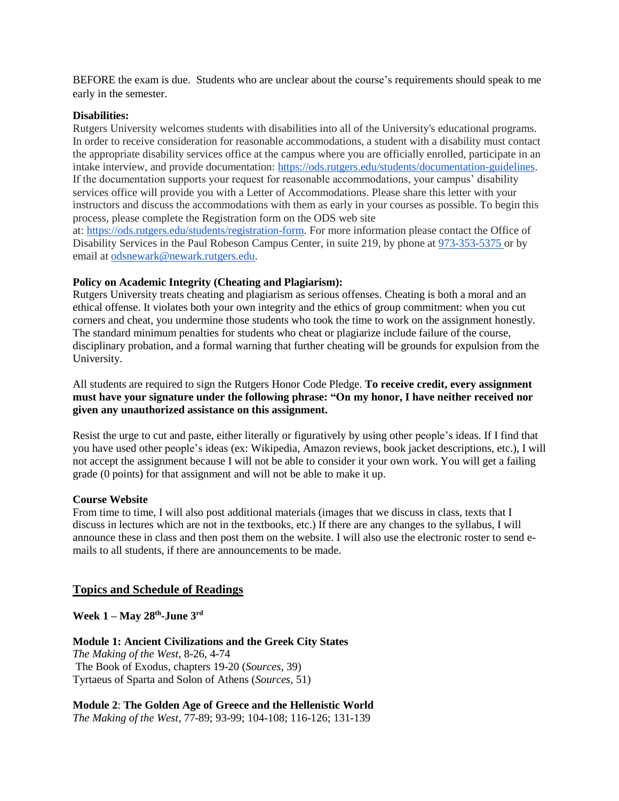BEFORE the exam is due. Students who are unclear about the course's requirements should speak to me early in the semester.

### **Disabilities:**

Rutgers University welcomes students with disabilities into all of the University's educational programs. In order to receive consideration for reasonable accommodations, a student with a disability must contact the appropriate disability services office at the campus where you are officially enrolled, participate in an intake interview, and provide documentation: [https://ods.rutgers.edu/students/documentation-guidelines.](https://ods.rutgers.edu/students/documentation-guidelines) If the documentation supports your request for reasonable accommodations, your campus' disability services office will provide you with a Letter of Accommodations. Please share this letter with your instructors and discuss the accommodations with them as early in your courses as possible. To begin this process, please complete the Registration form on the ODS web site at: [https://ods.rutgers.edu/students/registration-form.](https://ods.rutgers.edu/students/registration-form) For more information please contact the Office of Disability Services in the Paul Robeson Campus Center, in suite 219, by phone at [973-353-5375](tel:(973)%20353-5375) or by email at [odsnewark@newark.rutgers.edu.](mailto:odsnewark@newark.rutgers.edu)

# **Policy on Academic Integrity (Cheating and Plagiarism):**

Rutgers University treats cheating and plagiarism as serious offenses. Cheating is both a moral and an ethical offense. It violates both your own integrity and the ethics of group commitment: when you cut corners and cheat, you undermine those students who took the time to work on the assignment honestly. The standard minimum penalties for students who cheat or plagiarize include failure of the course, disciplinary probation, and a formal warning that further cheating will be grounds for expulsion from the University.

All students are required to sign the Rutgers Honor Code Pledge. **To receive credit, every assignment must have your signature under the following phrase: "On my honor, I have neither received nor given any unauthorized assistance on this assignment.**

Resist the urge to cut and paste, either literally or figuratively by using other people's ideas. If I find that you have used other people's ideas (ex: Wikipedia, Amazon reviews, book jacket descriptions, etc.), I will not accept the assignment because I will not be able to consider it your own work. You will get a failing grade (0 points) for that assignment and will not be able to make it up.

# **Course Website**

From time to time, I will also post additional materials (images that we discuss in class, texts that I discuss in lectures which are not in the textbooks, etc.) If there are any changes to the syllabus, I will announce these in class and then post them on the website. I will also use the electronic roster to send emails to all students, if there are announcements to be made.

# **Topics and Schedule of Readings**

**Week 1 – May 28th -June 3 rd**

**Module 1: Ancient Civilizations and the Greek City States** *The Making of the West,* 8-26, 4-74 The Book of Exodus, chapters 19-20 (*Sources*, 39) Tyrtaeus of Sparta and Solon of Athens (*Sources,* 51)

**Module 2**: **The Golden Age of Greece and the Hellenistic World** *The Making of the West,* 77-89; 93-99; 104-108; 116-126; 131-139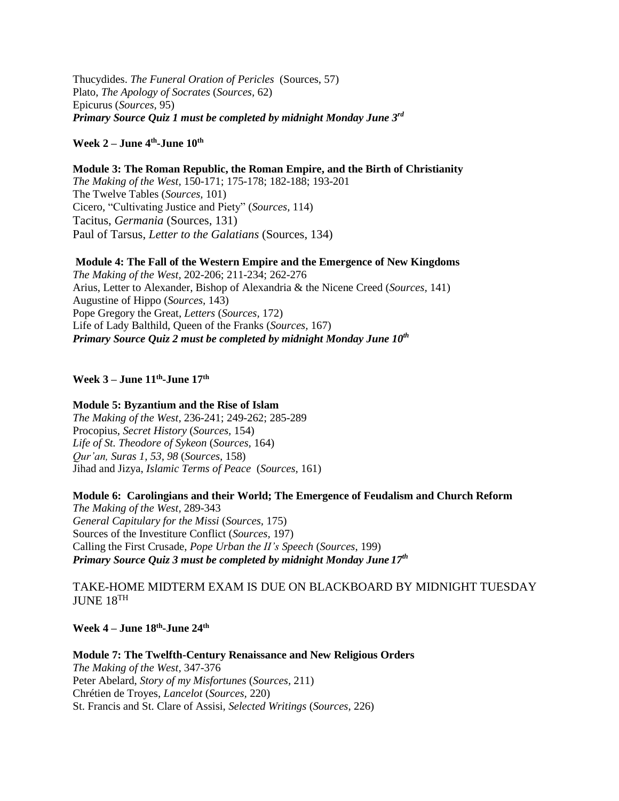Thucydides. *The Funeral Oration of Pericles* (Sources, 57) Plato, *The Apology of Socrates* (*Sources,* 62) Epicurus (*Sources,* 95) *Primary Source Quiz 1 must be completed by midnight Monday June 3 rd*

# **Week 2 – June 4 th -June 10th**

**Module 3: The Roman Republic, the Roman Empire, and the Birth of Christianity** *The Making of the West,* 150-171; 175-178; 182-188; 193-201 The Twelve Tables (*Sources,* 101) Cicero, "Cultivating Justice and Piety" (*Sources,* 114) Tacitus, *Germania* (Sources, 131) Paul of Tarsus, *Letter to the Galatians* (Sources, 134)

**Module 4: The Fall of the Western Empire and the Emergence of New Kingdoms** *The Making of the West,* 202-206; 211-234; 262-276 Arius, Letter to Alexander, Bishop of Alexandria & the Nicene Creed (*Sources,* 141) Augustine of Hippo (*Sources,* 143) Pope Gregory the Great, *Letters* (*Sources,* 172) Life of Lady Balthild, Queen of the Franks (*Sources,* 167) *Primary Source Quiz 2 must be completed by midnight Monday June 10th*

# **Week 3 – June 11th -June 17th**

### **Module 5: Byzantium and the Rise of Islam**

*The Making of the West,* 236-241; 249-262; 285-289 Procopius, *Secret History* (*Sources,* 154) *Life of St. Theodore of Sykeon* (*Sources,* 164) *Qur'an, Suras 1, 53, 98* (*Sources,* 158) Jihad and Jizya, *Islamic Terms of Peace* (*Sources,* 161)

**Module 6: Carolingians and their World; The Emergence of Feudalism and Church Reform** *The Making of the West,* 289-343 *General Capitulary for the Missi* (*Sources,* 175) Sources of the Investiture Conflict (*Sources,* 197) Calling the First Crusade, *Pope Urban the II's Speech* (*Sources*, 199) *Primary Source Quiz 3 must be completed by midnight Monday June 17th*

TAKE-HOME MIDTERM EXAM IS DUE ON BLACKBOARD BY MIDNIGHT TUESDAY JUNE 18TH

**Week 4 – June 18th -June 24th**

**Module 7: The Twelfth-Century Renaissance and New Religious Orders** *The Making of the West,* 347-376 Peter Abelard, *Story of my Misfortunes* (*Sources,* 211) Chrétien de Troyes, *Lancelot* (*Sources,* 220) St. Francis and St. Clare of Assisi, *Selected Writings* (*Sources*, 226)